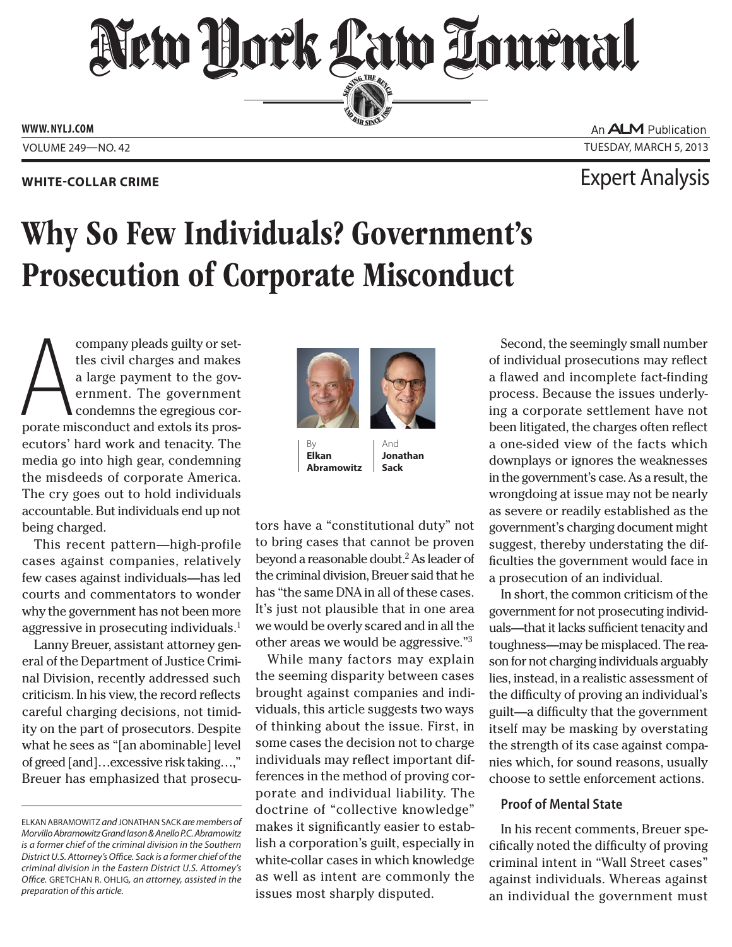New Dock Law Lournal SERVING THE BEA

**PERSONAL SINCE 1888** 

**WWW. NYLJ.COM**

An **ALM** Publication VOLUME 249—NO. 42 TUESDAY, MARCH 5, 2013

## **WHITE-COLLAR CRIME** Expert Analysis

# Why So Few Individuals? Government's Prosecution of Corporate Misconduct

company pleads guilty or set-<br>tles civil charges and makes<br>a large payment to the gov-<br>ernment. The government<br>condemns the egregious cor-<br>porate misconduct and extols its prostles civil charges and makes a large payment to the government. The government condemns the egregious corecutors' hard work and tenacity. The media go into high gear, condemning the misdeeds of corporate America. The cry goes out to hold individuals accountable. But individuals end up not being charged.

This recent pattern—high-profile cases against companies, relatively few cases against individuals—has led courts and commentators to wonder why the government has not been more aggressive in prosecuting individuals.<sup>1</sup>

Lanny Breuer, assistant attorney general of the Department of Justice Criminal Division, recently addressed such criticism. In his view, the record reflects careful charging decisions, not timidity on the part of prosecutors. Despite what he sees as "[an abominable] level of greed [and]…excessive risk taking…," Breuer has emphasized that prosecu-



By **Elkan Abramowitz**

And **Jonathan Sack**

tors have a "constitutional duty" not to bring cases that cannot be proven beyond a reasonable doubt.<sup>2</sup> As leader of the criminal division, Breuer said that he has "the same DNA in all of these cases. It's just not plausible that in one area we would be overly scared and in all the other areas we would be aggressive."3

While many factors may explain the seeming disparity between cases brought against companies and individuals, this article suggests two ways of thinking about the issue. First, in some cases the decision not to charge individuals may reflect important differences in the method of proving corporate and individual liability. The doctrine of "collective knowledge" makes it significantly easier to establish a corporation's guilt, especially in white-collar cases in which knowledge as well as intent are commonly the issues most sharply disputed.

Second, the seemingly small number of individual prosecutions may reflect a flawed and incomplete fact-finding process. Because the issues underlying a corporate settlement have not been litigated, the charges often reflect a one-sided view of the facts which downplays or ignores the weaknesses in the government's case. As a result, the wrongdoing at issue may not be nearly as severe or readily established as the government's charging document might suggest, thereby understating the difficulties the government would face in a prosecution of an individual.

In short, the common criticism of the government for not prosecuting individuals—that it lacks sufficient tenacity and toughness—may be misplaced. The reason for not charging individuals arguably lies, instead, in a realistic assessment of the difficulty of proving an individual's guilt—a difficulty that the government itself may be masking by overstating the strength of its case against companies which, for sound reasons, usually choose to settle enforcement actions.

### **Proof of Mental State**

In his recent comments, Breuer specifically noted the difficulty of proving criminal intent in "Wall Street cases" against individuals. Whereas against an individual the government must

ELKAN ABRAMOWITZ *and* JONATHAN SACK *are members of Morvillo Abramowitz Grand Iason & Anello P.C. Abramowitz is a former chief of the criminal division in the Southern District U.S. Attorney's Office. Sack is a former chief of the criminal division in the Eastern District U.S. Attorney's Office.* GRETCHAN R. OHLIG*, an attorney, assisted in the preparation of this article.*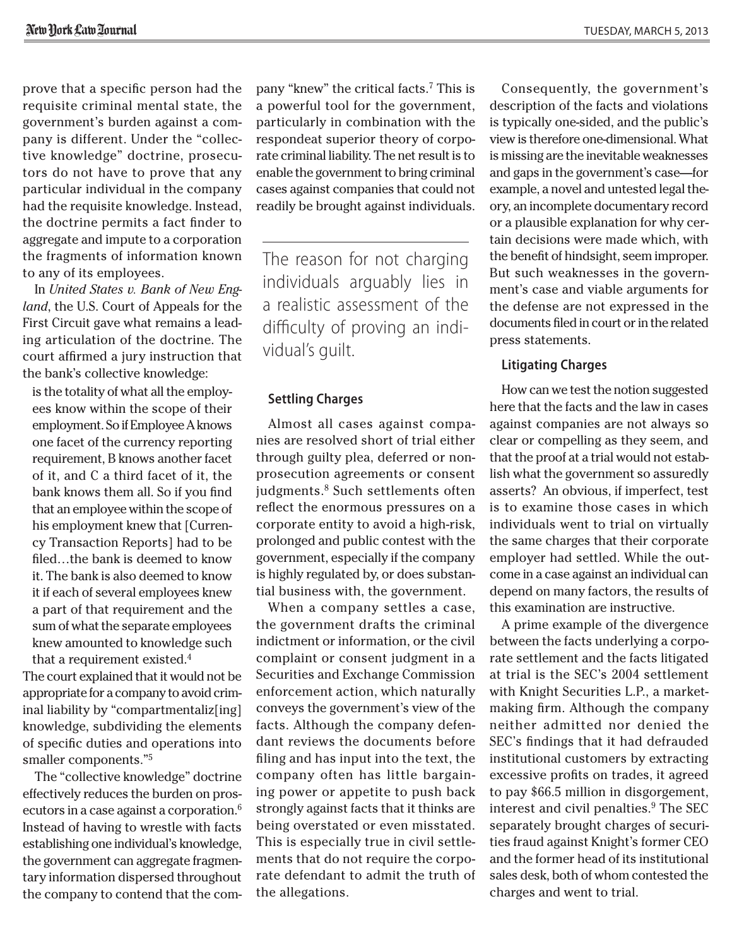prove that a specific person had the requisite criminal mental state, the government's burden against a company is different. Under the "collective knowledge" doctrine, prosecutors do not have to prove that any particular individual in the company had the requisite knowledge. Instead, the doctrine permits a fact finder to aggregate and impute to a corporation the fragments of information known to any of its employees.

In *United States v. Bank of New England*, the U.S. Court of Appeals for the First Circuit gave what remains a leading articulation of the doctrine. The court affirmed a jury instruction that the bank's collective knowledge:

is the totality of what all the employees know within the scope of their employment. So if Employee A knows one facet of the currency reporting requirement, B knows another facet of it, and C a third facet of it, the bank knows them all. So if you find that an employee within the scope of his employment knew that [Currency Transaction Reports] had to be filed…the bank is deemed to know it. The bank is also deemed to know it if each of several employees knew a part of that requirement and the sum of what the separate employees knew amounted to knowledge such that a requirement existed.4

The court explained that it would not be appropriate for a company to avoid criminal liability by "compartmentaliz[ing] knowledge, subdividing the elements of specific duties and operations into smaller components."5

The "collective knowledge" doctrine effectively reduces the burden on prosecutors in a case against a corporation.<sup>6</sup> Instead of having to wrestle with facts establishing one individual's knowledge, the government can aggregate fragmentary information dispersed throughout the company to contend that the company "knew" the critical facts.7 This is a powerful tool for the government, particularly in combination with the respondeat superior theory of corporate criminal liability. The net result is to enable the government to bring criminal cases against companies that could not readily be brought against individuals.

The reason for not charging individuals arguably lies in a realistic assessment of the difficulty of proving an individual's guilt.

#### **Settling Charges**

Almost all cases against companies are resolved short of trial either through guilty plea, deferred or nonprosecution agreements or consent judgments.<sup>8</sup> Such settlements often reflect the enormous pressures on a corporate entity to avoid a high-risk, prolonged and public contest with the government, especially if the company is highly regulated by, or does substantial business with, the government.

When a company settles a case, the government drafts the criminal indictment or information, or the civil complaint or consent judgment in a Securities and Exchange Commission enforcement action, which naturally conveys the government's view of the facts. Although the company defendant reviews the documents before filing and has input into the text, the company often has little bargaining power or appetite to push back strongly against facts that it thinks are being overstated or even misstated. This is especially true in civil settlements that do not require the corporate defendant to admit the truth of the allegations.

Consequently, the government's description of the facts and violations is typically one-sided, and the public's view is therefore one-dimensional. What is missing are the inevitable weaknesses and gaps in the government's case—for example, a novel and untested legal theory, an incomplete documentary record or a plausible explanation for why certain decisions were made which, with the benefit of hindsight, seem improper. But such weaknesses in the government's case and viable arguments for the defense are not expressed in the documents filed in court or in the related press statements.

#### **Litigating Charges**

How can we test the notion suggested here that the facts and the law in cases against companies are not always so clear or compelling as they seem, and that the proof at a trial would not establish what the government so assuredly asserts? An obvious, if imperfect, test is to examine those cases in which individuals went to trial on virtually the same charges that their corporate employer had settled. While the outcome in a case against an individual can depend on many factors, the results of this examination are instructive.

A prime example of the divergence between the facts underlying a corporate settlement and the facts litigated at trial is the SEC's 2004 settlement with Knight Securities L.P., a marketmaking firm. Although the company neither admitted nor denied the SEC's findings that it had defrauded institutional customers by extracting excessive profits on trades, it agreed to pay \$66.5 million in disgorgement, interest and civil penalties.9 The SEC separately brought charges of securities fraud against Knight's former CEO and the former head of its institutional sales desk, both of whom contested the charges and went to trial.